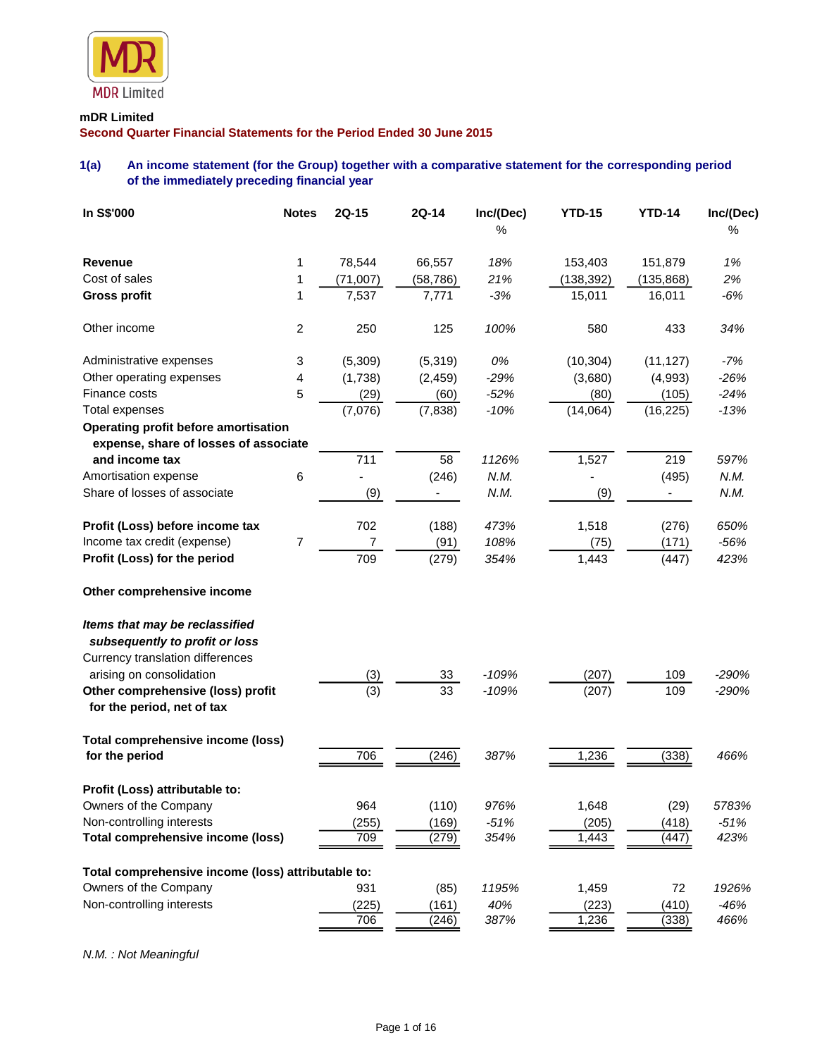

# **mDR Limited**

**Second Quarter Financial Statements for the Period Ended 30 June 2015** 

# **1(a) An income statement (for the Group) together with a comparative statement for the corresponding period of the immediately preceding financial year**

| In S\$'000                                                       | <b>Notes</b> | 2Q-15    | 2Q-14     | Inc/(Dec)<br>% | <b>YTD-15</b> | <b>YTD-14</b> | Inc/(Dec)<br>% |
|------------------------------------------------------------------|--------------|----------|-----------|----------------|---------------|---------------|----------------|
| <b>Revenue</b>                                                   | 1            | 78,544   | 66,557    | 18%            | 153,403       | 151,879       | 1%             |
| Cost of sales                                                    | 1            | (71,007) | (58, 786) | 21%            | (138, 392)    | (135, 868)    | 2%             |
| <b>Gross profit</b>                                              | 1            | 7,537    | 7,771     | $-3%$          | 15,011        | 16,011        | $-6%$          |
| Other income                                                     | 2            | 250      | 125       | 100%           | 580           | 433           | 34%            |
| Administrative expenses                                          | 3            | (5,309)  | (5,319)   | 0%             | (10, 304)     | (11, 127)     | $-7%$          |
| Other operating expenses                                         | 4            | (1,738)  | (2, 459)  | $-29%$         | (3,680)       | (4,993)       | $-26%$         |
| Finance costs                                                    | 5            | (29)     | (60)      | $-52%$         | (80)          | (105)         | $-24%$         |
| <b>Total expenses</b>                                            |              | (7,076)  | (7, 838)  | $-10%$         | (14,064)      | (16, 225)     | $-13%$         |
| Operating profit before amortisation                             |              |          |           |                |               |               |                |
| expense, share of losses of associate                            |              |          |           |                |               |               |                |
| and income tax                                                   |              | 711      | 58        | 1126%          | 1,527         | 219           | 597%           |
| Amortisation expense                                             | 6            |          | (246)     | N.M.           |               | (495)         | N.M.           |
| Share of losses of associate                                     |              | (9)      |           | N.M.           | (9)           |               | N.M.           |
| Profit (Loss) before income tax                                  |              | 702      | (188)     | 473%           | 1,518         | (276)         | 650%           |
| Income tax credit (expense)                                      | 7            | 7        | (91)      | 108%           | (75)          | (171)         | $-56%$         |
| Profit (Loss) for the period                                     |              | 709      | (279)     | 354%           | 1,443         | (447)         | 423%           |
| Other comprehensive income                                       |              |          |           |                |               |               |                |
| Items that may be reclassified<br>subsequently to profit or loss |              |          |           |                |               |               |                |
| Currency translation differences                                 |              |          |           |                |               |               |                |
| arising on consolidation                                         |              | (3)      | 33        | $-109%$        | (207)         | 109           | $-290%$        |
| Other comprehensive (loss) profit                                |              | (3)      | 33        | $-109%$        | (207)         | 109           | $-290%$        |
| for the period, net of tax                                       |              |          |           |                |               |               |                |
| <b>Total comprehensive income (loss)</b>                         |              |          |           |                |               |               |                |
| for the period                                                   |              | 706      | (246)     | 387%           | 1,236         | (338)         | 466%           |
| Profit (Loss) attributable to:                                   |              |          |           |                |               |               |                |
| Owners of the Company                                            |              | 964      | (110)     | 976%           | 1,648         | (29)          | 5783%          |
| Non-controlling interests                                        |              | (255)    | (169)     | $-51%$         | (205)         | (418)         | $-51%$         |
| <b>Total comprehensive income (loss)</b>                         |              | 709      | (279)     | 354%           | 1,443         | (447)         | 423%           |
| Total comprehensive income (loss) attributable to:               |              |          |           |                |               |               |                |
| Owners of the Company                                            |              | 931      | (85)      | 1195%          | 1,459         | 72            | 1926%          |
| Non-controlling interests                                        |              | (225)    | (161)     | 40%            | (223)         | (410)         | -46%           |
|                                                                  |              | 706      | (246)     | 387%           | 1,236         | (338)         | 466%           |

*N.M. : Not Meaningful*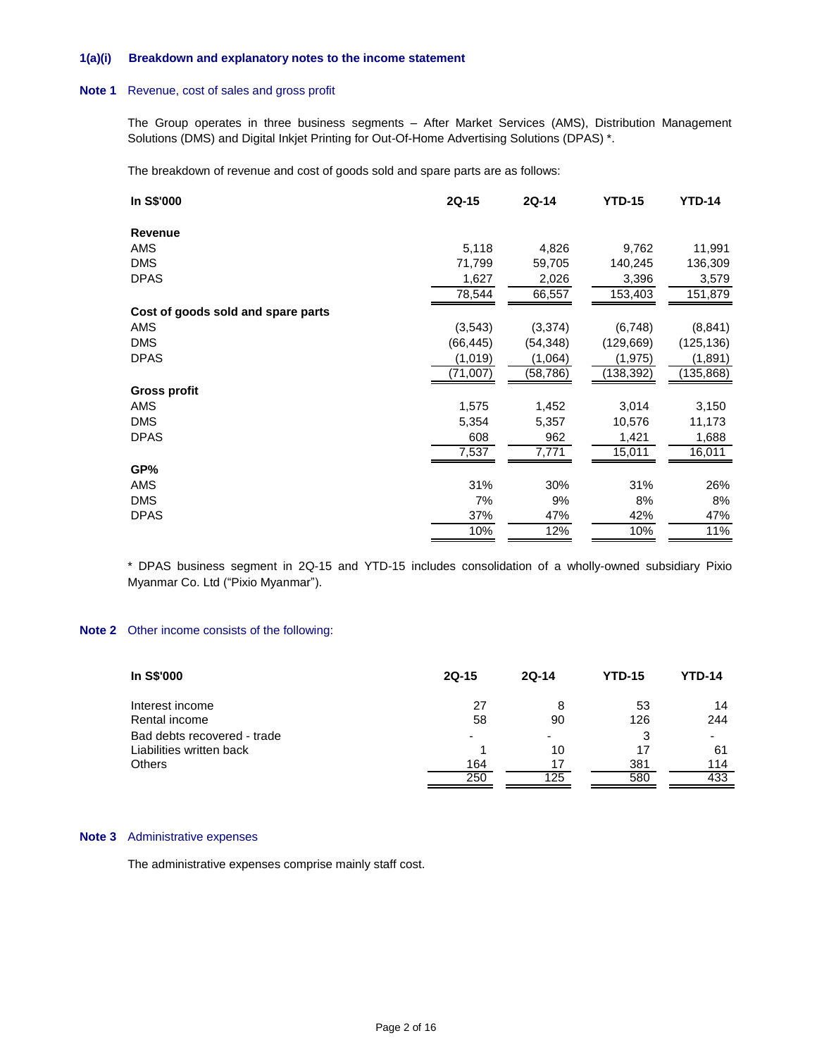# **1(a)(i) Breakdown and explanatory notes to the income statement**

# **Note 1** Revenue, cost of sales and gross profit

The Group operates in three business segments – After Market Services (AMS), Distribution Management Solutions (DMS) and Digital Inkjet Printing for Out-Of-Home Advertising Solutions (DPAS) \*.

The breakdown of revenue and cost of goods sold and spare parts are as follows:

| In S\$'000                         | 2Q-15     | 2Q-14     | <b>YTD-15</b> | <b>YTD-14</b> |
|------------------------------------|-----------|-----------|---------------|---------------|
| Revenue                            |           |           |               |               |
| AMS                                | 5,118     | 4,826     | 9,762         | 11,991        |
| <b>DMS</b>                         | 71,799    | 59,705    | 140,245       | 136,309       |
| <b>DPAS</b>                        | 1,627     | 2,026     | 3,396         | 3,579         |
|                                    | 78,544    | 66,557    | 153,403       | 151,879       |
| Cost of goods sold and spare parts |           |           |               |               |
| AMS                                | (3,543)   | (3,374)   | (6,748)       | (8, 841)      |
| <b>DMS</b>                         | (66, 445) | (54, 348) | (129, 669)    | (125, 136)    |
| <b>DPAS</b>                        | (1,019)   | (1,064)   | (1, 975)      | (1,891)       |
|                                    | (71, 007) | (58, 786) | (138, 392)    | (135, 868)    |
| Gross profit                       |           |           |               |               |
| AMS                                | 1,575     | 1,452     | 3,014         | 3,150         |
| DMS                                | 5,354     | 5,357     | 10,576        | 11,173        |
| <b>DPAS</b>                        | 608       | 962       | 1,421         | 1,688         |
|                                    | 7,537     | 7,771     | 15,011        | 16,011        |
| GP%                                |           |           |               |               |
| AMS                                | 31%       | 30%       | 31%           | 26%           |
| <b>DMS</b>                         | 7%        | 9%        | 8%            | 8%            |
| <b>DPAS</b>                        | 37%       | 47%       | 42%           | 47%           |
|                                    | 10%       | 12%       | 10%           | 11%           |

\* DPAS business segment in 2Q-15 and YTD-15 includes consolidation of a wholly-owned subsidiary Pixio Myanmar Co. Ltd ("Pixio Myanmar").

# **Note 2** Other income consists of the following:

| In S\$'000                  | $2Q-15$ | $2Q-14$ | <b>YTD-15</b> | <b>YTD-14</b> |
|-----------------------------|---------|---------|---------------|---------------|
| Interest income             | 27      |         | 53            | 14            |
| Rental income               | 58      | 90      | 126           | 244           |
| Bad debts recovered - trade | -       |         | 3             |               |
| Liabilities written back    |         | 10      | 17            | 61            |
| <b>Others</b>               | 164     |         | 381           | 114           |
|                             | 250     | 125     | 580           | 433           |

# **Note 3** Administrative expenses

The administrative expenses comprise mainly staff cost.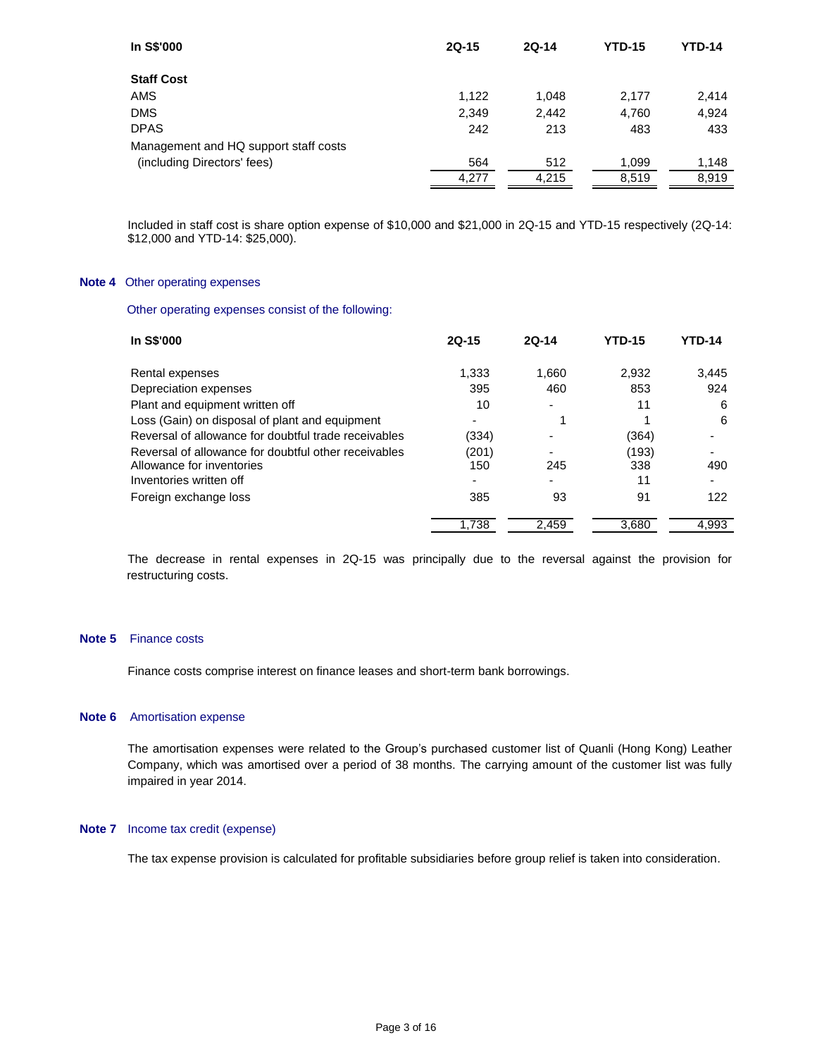| $2Q-15$ | $2Q-14$ | <b>YTD-15</b> | YTD-14 |
|---------|---------|---------------|--------|
|         |         |               |        |
|         |         |               | 2,414  |
| 2,349   | 2,442   | 4,760         | 4,924  |
| 242     | 213     | 483           | 433    |
|         |         |               |        |
| 564     | 512     | 1.099         | 1,148  |
| 4,277   | 4.215   | 8,519         | 8.919  |
|         | 1,122   | 1,048         | 2,177  |

Included in staff cost is share option expense of \$10,000 and \$21,000 in 2Q-15 and YTD-15 respectively (2Q-14: \$12,000 and YTD-14: \$25,000).

### **Note 4** Other operating expenses

## Other operating expenses consist of the following:

| In S\$'000                                           | $2Q-15$ | $2Q-14$ | <b>YTD-15</b> | <b>YTD-14</b> |
|------------------------------------------------------|---------|---------|---------------|---------------|
| Rental expenses                                      | 1.333   | 1,660   | 2.932         | 3,445         |
| Depreciation expenses                                | 395     | 460     | 853           | 924           |
| Plant and equipment written off                      | 10      |         | 11            | 6             |
| Loss (Gain) on disposal of plant and equipment       |         |         |               | 6             |
| Reversal of allowance for doubtful trade receivables | (334)   |         | (364)         |               |
| Reversal of allowance for doubtful other receivables | (201)   |         | (193)         |               |
| Allowance for inventories                            | 150     | 245     | 338           | 490           |
| Inventories written off                              |         |         | 11            |               |
| Foreign exchange loss                                | 385     | 93      | 91            | 122           |
|                                                      | 1.738   | 2.459   | 3.680         | 4,993         |

The decrease in rental expenses in 2Q-15 was principally due to the reversal against the provision for restructuring costs.

### **Note 5** Finance costs

Finance costs comprise interest on finance leases and short-term bank borrowings.

#### **Note 6** Amortisation expense

The amortisation expenses were related to the Group's purchased customer list of Quanli (Hong Kong) Leather Company, which was amortised over a period of 38 months. The carrying amount of the customer list was fully impaired in year 2014.

### **Note 7** Income tax credit (expense)

The tax expense provision is calculated for profitable subsidiaries before group relief is taken into consideration.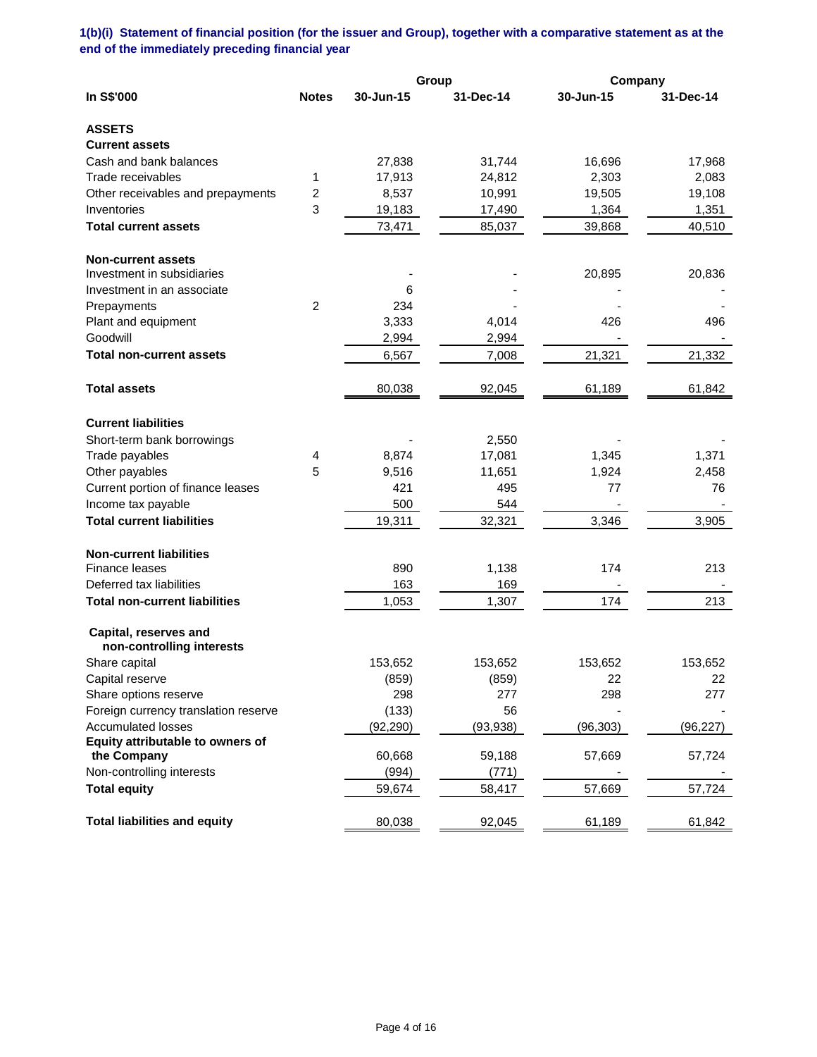# **1(b)(i) Statement of financial position (for the issuer and Group), together with a comparative statement as at the end of the immediately preceding financial year**

|                                                    |              |           | Group     | Company   |           |
|----------------------------------------------------|--------------|-----------|-----------|-----------|-----------|
| In S\$'000                                         | <b>Notes</b> | 30-Jun-15 | 31-Dec-14 | 30-Jun-15 | 31-Dec-14 |
| <b>ASSETS</b>                                      |              |           |           |           |           |
| <b>Current assets</b>                              |              |           |           |           |           |
| Cash and bank balances                             |              | 27,838    | 31,744    | 16,696    | 17,968    |
| Trade receivables                                  | 1            | 17,913    | 24,812    | 2,303     | 2,083     |
| Other receivables and prepayments                  | 2            | 8,537     | 10,991    | 19,505    | 19,108    |
| Inventories                                        | 3            | 19,183    | 17,490    | 1,364     | 1,351     |
| <b>Total current assets</b>                        |              | 73,471    | 85,037    | 39,868    | 40,510    |
| <b>Non-current assets</b>                          |              |           |           |           |           |
| Investment in subsidiaries                         |              |           |           | 20,895    | 20,836    |
| Investment in an associate                         |              | 6         |           |           |           |
| Prepayments                                        | 2            | 234       |           |           |           |
| Plant and equipment                                |              | 3,333     | 4,014     | 426       | 496       |
| Goodwill                                           |              | 2,994     | 2,994     |           |           |
| <b>Total non-current assets</b>                    |              | 6,567     | 7,008     | 21,321    | 21,332    |
| <b>Total assets</b>                                |              | 80,038    | 92,045    | 61,189    | 61,842    |
| <b>Current liabilities</b>                         |              |           |           |           |           |
| Short-term bank borrowings                         |              |           | 2,550     |           |           |
| Trade payables                                     | 4            | 8,874     | 17,081    | 1,345     | 1,371     |
| Other payables                                     | 5            | 9,516     | 11,651    | 1,924     | 2,458     |
| Current portion of finance leases                  |              | 421       | 495       | 77        | 76        |
| Income tax payable                                 |              | 500       | 544       |           |           |
| <b>Total current liabilities</b>                   |              | 19,311    | 32,321    | 3,346     | 3,905     |
| <b>Non-current liabilities</b>                     |              |           |           |           |           |
| <b>Finance leases</b>                              |              | 890       | 1,138     | 174       | 213       |
| Deferred tax liabilities                           |              | 163       | 169       |           |           |
| <b>Total non-current liabilities</b>               |              | 1,053     | 1,307     | 174       | 213       |
| Capital, reserves and<br>non-controlling interests |              |           |           |           |           |
| Share capital                                      |              | 153,652   | 153,652   | 153,652   | 153,652   |
| Capital reserve                                    |              | (859)     | (859)     | 22        | 22        |
| Share options reserve                              |              | 298       | 277       | 298       | 277       |
| Foreign currency translation reserve               |              | (133)     | 56        |           |           |
| <b>Accumulated losses</b>                          |              | (92, 290) | (93, 938) | (96, 303) | (96, 227) |
| Equity attributable to owners of                   |              |           |           |           |           |
| the Company                                        |              | 60,668    | 59,188    | 57,669    | 57,724    |
| Non-controlling interests                          |              | (994)     | (771)     |           |           |
| <b>Total equity</b>                                |              | 59,674    | 58,417    | 57,669    | 57,724    |
| <b>Total liabilities and equity</b>                |              | 80,038    | 92,045    | 61,189    | 61,842    |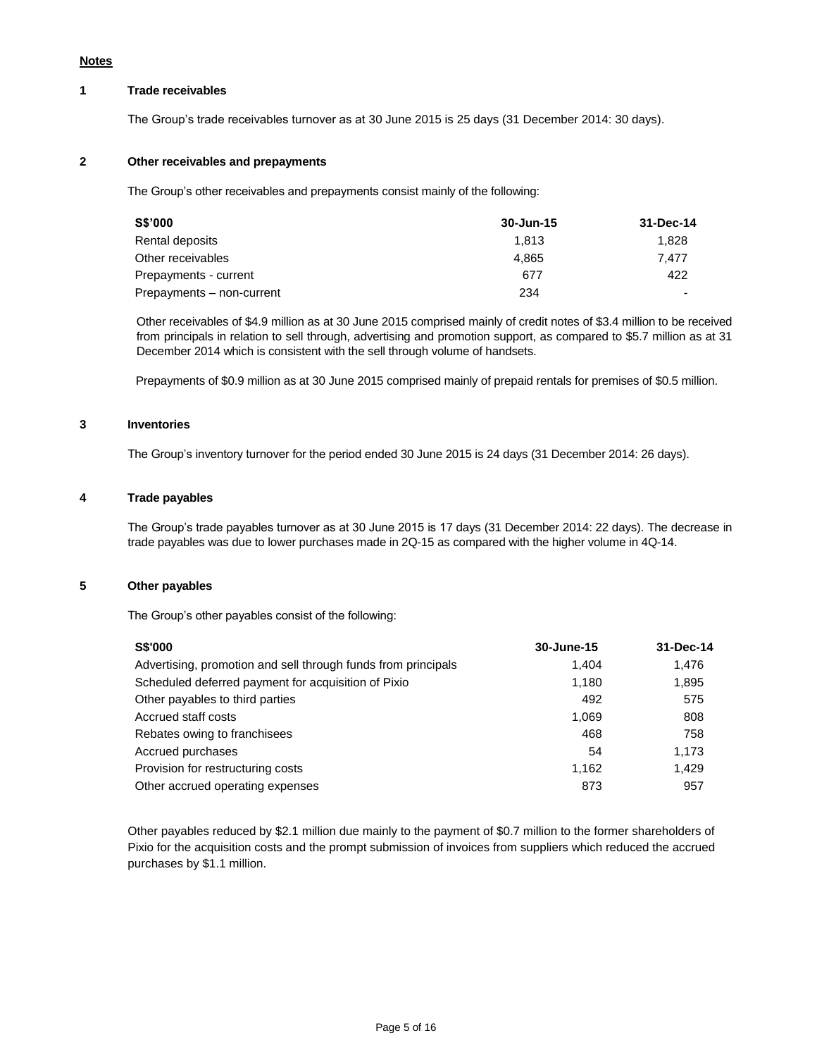#### **Notes**

### **1 Trade receivables**

The Group's trade receivables turnover as at 30 June 2015 is 25 days (31 December 2014: 30 days).

# **2 Other receivables and prepayments**

The Group's other receivables and prepayments consist mainly of the following:

| S\$'000                   | 30-Jun-15 | 31-Dec-14 |
|---------------------------|-----------|-----------|
| Rental deposits           | 1.813     | 1.828     |
| Other receivables         | 4.865     | 7.477     |
| Prepayments - current     | 677       | 422       |
| Prepayments - non-current | 234       |           |

Other receivables of \$4.9 million as at 30 June 2015 comprised mainly of credit notes of \$3.4 million to be received from principals in relation to sell through, advertising and promotion support, as compared to \$5.7 million as at 31 December 2014 which is consistent with the sell through volume of handsets.

Prepayments of \$0.9 million as at 30 June 2015 comprised mainly of prepaid rentals for premises of \$0.5 million.

### **3 Inventories**

The Group's inventory turnover for the period ended 30 June 2015 is 24 days (31 December 2014: 26 days).

### **4 Trade payables**

The Group's trade payables turnover as at 30 June 2015 is 17 days (31 December 2014: 22 days). The decrease in trade payables was due to lower purchases made in 2Q-15 as compared with the higher volume in 4Q-14.

### **5 Other payables**

The Group's other payables consist of the following:

| <b>S\$'000</b>                                                | 30-June-15 | 31-Dec-14 |
|---------------------------------------------------------------|------------|-----------|
| Advertising, promotion and sell through funds from principals | 1.404      | 1,476     |
| Scheduled deferred payment for acquisition of Pixio           | 1.180      | 1,895     |
| Other payables to third parties                               | 492        | 575       |
| Accrued staff costs                                           | 1.069      | 808       |
| Rebates owing to franchisees                                  | 468        | 758       |
| Accrued purchases                                             | 54         | 1,173     |
| Provision for restructuring costs                             | 1.162      | 1,429     |
| Other accrued operating expenses                              | 873        | 957       |

Other payables reduced by \$2.1 million due mainly to the payment of \$0.7 million to the former shareholders of Pixio for the acquisition costs and the prompt submission of invoices from suppliers which reduced the accrued purchases by \$1.1 million.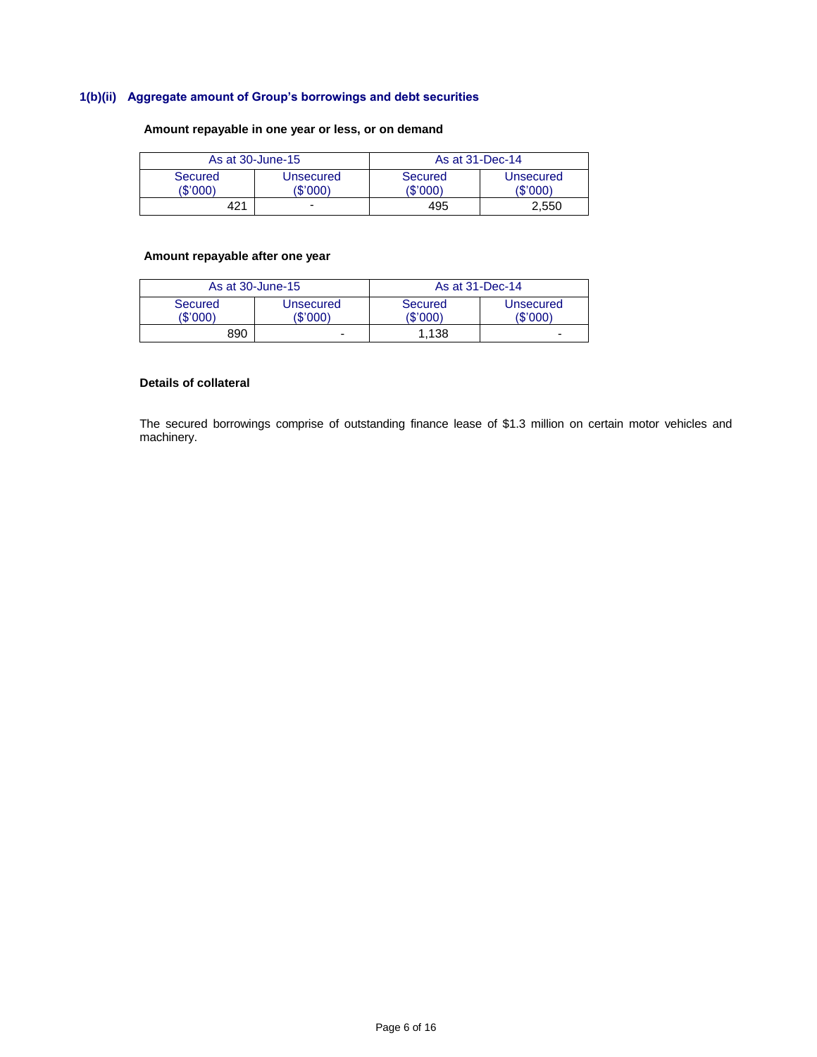# **1(b)(ii) Aggregate amount of Group's borrowings and debt securities**

# **Amount repayable in one year or less, or on demand**

| As at 30-June-15           |                       | As at 31-Dec-14     |                       |  |
|----------------------------|-----------------------|---------------------|-----------------------|--|
| <b>Secured</b><br>(\$'000) | Unsecured<br>(\$'000) | Secured<br>(\$'000) | Unsecured<br>(\$'000) |  |
| 421                        | ۰                     | 495                 | 2.550                 |  |

# **Amount repayable after one year**

| As at 30-June-15           |                       | As at 31-Dec-14     |                              |
|----------------------------|-----------------------|---------------------|------------------------------|
| <b>Secured</b><br>(\$'000) | Unsecured<br>(\$'000) | Secured<br>(\$'000) | <b>Unsecured</b><br>(\$'000) |
| 890                        | -                     | 1.138               | -                            |

# **Details of collateral**

The secured borrowings comprise of outstanding finance lease of \$1.3 million on certain motor vehicles and machinery.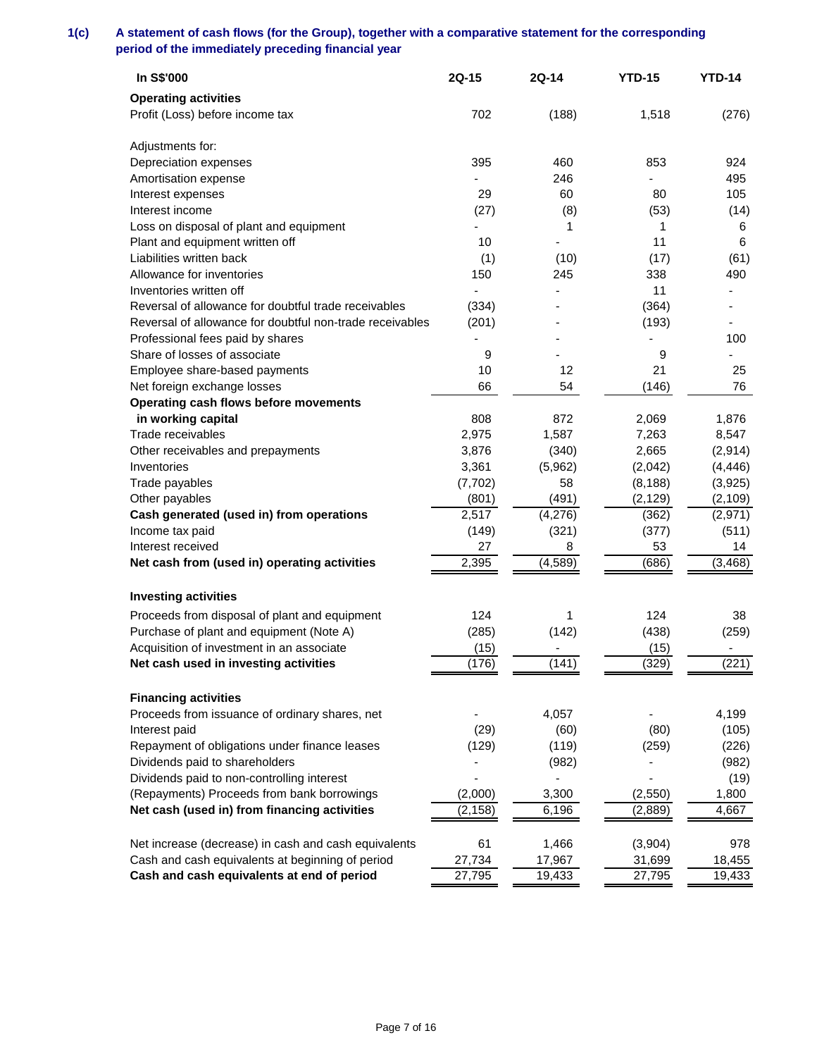# **1(c) A statement of cash flows (for the Group), together with a comparative statement for the corresponding period of the immediately preceding financial year**

| In S\$'000                                               | 2Q-15    | 2Q-14    | <b>YTD-15</b> | <b>YTD-14</b> |
|----------------------------------------------------------|----------|----------|---------------|---------------|
| <b>Operating activities</b>                              |          |          |               |               |
| Profit (Loss) before income tax                          | 702      | (188)    | 1,518         | (276)         |
| Adjustments for:                                         |          |          |               |               |
| Depreciation expenses                                    | 395      | 460      | 853           | 924           |
| Amortisation expense                                     |          | 246      |               | 495           |
| Interest expenses                                        | 29       | 60       | 80            | 105           |
| Interest income                                          | (27)     | (8)      | (53)          | (14)          |
| Loss on disposal of plant and equipment                  |          | 1        | 1             | 6             |
| Plant and equipment written off                          | 10       |          | 11            | 6             |
| Liabilities written back                                 | (1)      | (10)     | (17)          | (61)          |
| Allowance for inventories                                | 150      | 245      | 338           | 490           |
| Inventories written off                                  |          |          | 11            |               |
| Reversal of allowance for doubtful trade receivables     | (334)    |          | (364)         |               |
| Reversal of allowance for doubtful non-trade receivables | (201)    |          | (193)         |               |
| Professional fees paid by shares                         |          |          |               | 100           |
| Share of losses of associate                             | 9        |          | 9             |               |
| Employee share-based payments                            | 10       | 12       | 21            | 25            |
| Net foreign exchange losses                              | 66       | 54       | (146)         | 76            |
| Operating cash flows before movements                    |          |          |               |               |
| in working capital                                       | 808      | 872      | 2,069         | 1,876         |
| Trade receivables                                        | 2,975    | 1,587    | 7,263         | 8,547         |
| Other receivables and prepayments                        | 3,876    | (340)    | 2,665         | (2,914)       |
| Inventories                                              | 3,361    | (5,962)  | (2,042)       | (4, 446)      |
| Trade payables                                           | (7, 702) | 58       | (8, 188)      | (3,925)       |
| Other payables                                           | (801)    | (491)    | (2, 129)      | (2, 109)      |
| Cash generated (used in) from operations                 | 2,517    | (4,276)  | (362)         | (2,971)       |
| Income tax paid                                          | (149)    | (321)    | (377)         | (511)         |
| Interest received                                        | 27       | 8        | 53            | 14            |
| Net cash from (used in) operating activities             | 2,395    | (4, 589) | (686)         | (3, 468)      |
|                                                          |          |          |               |               |
| <b>Investing activities</b>                              |          |          |               |               |
| Proceeds from disposal of plant and equipment            | 124      | 1        | 124           | 38            |
| Purchase of plant and equipment (Note A)                 | (285)    | (142)    | (438)         | (259)         |
| Acquisition of investment in an associate                | (15)     |          | (15)          |               |
| Net cash used in investing activities                    | (176)    | (141)    | (329)         | (221)         |
| <b>Financing activities</b>                              |          |          |               |               |
| Proceeds from issuance of ordinary shares, net           |          | 4,057    |               | 4,199         |
| Interest paid                                            | (29)     | (60)     | (80)          | (105)         |
| Repayment of obligations under finance leases            | (129)    | (119)    | (259)         | (226)         |
| Dividends paid to shareholders                           |          | (982)    |               | (982)         |
| Dividends paid to non-controlling interest               |          |          |               | (19)          |
| (Repayments) Proceeds from bank borrowings               | (2,000)  | 3,300    | (2, 550)      | 1,800         |
| Net cash (used in) from financing activities             | (2, 158) | 6,196    | (2,889)       | 4,667         |
| Net increase (decrease) in cash and cash equivalents     | 61       | 1,466    | (3,904)       | 978           |
| Cash and cash equivalents at beginning of period         | 27,734   | 17,967   | 31,699        | 18,455        |
| Cash and cash equivalents at end of period               | 27,795   | 19,433   | 27,795        | 19,433        |
|                                                          |          |          |               |               |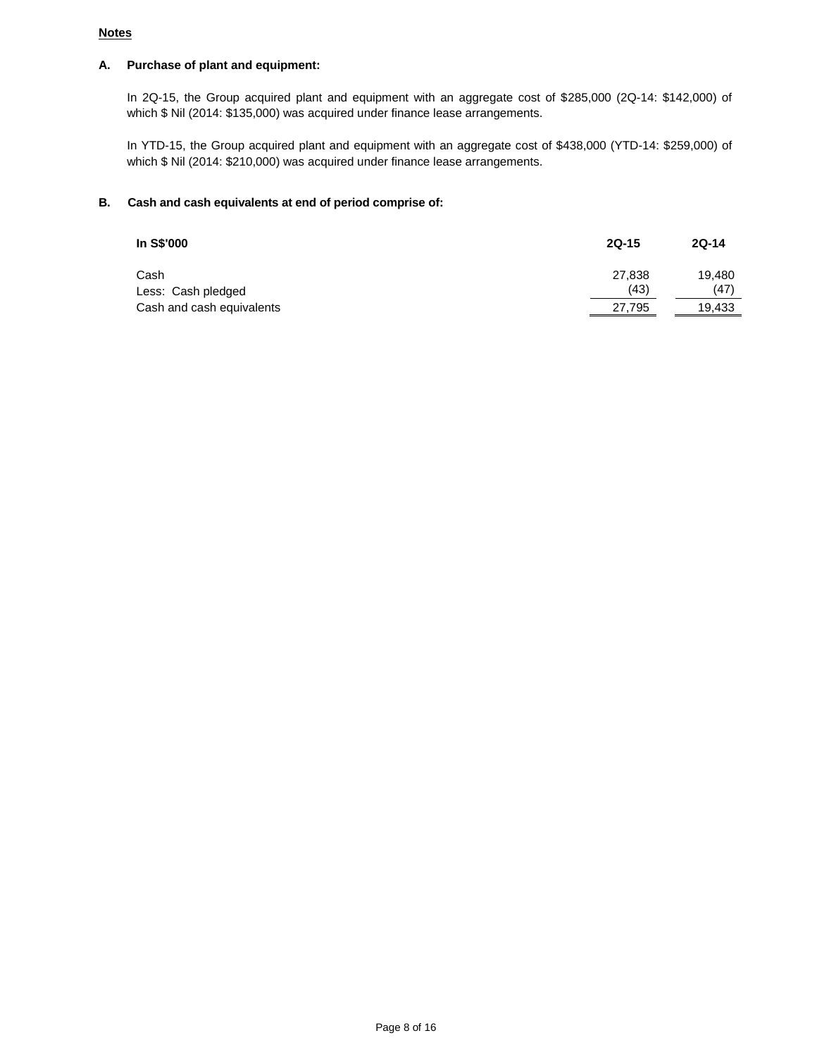# **Notes**

# **A. Purchase of plant and equipment:**

In 2Q-15, the Group acquired plant and equipment with an aggregate cost of \$285,000 (2Q-14: \$142,000) of which \$ Nil (2014: \$135,000) was acquired under finance lease arrangements.

In YTD-15, the Group acquired plant and equipment with an aggregate cost of \$438,000 (YTD-14: \$259,000) of which \$ Nil (2014: \$210,000) was acquired under finance lease arrangements.

# **B. Cash and cash equivalents at end of period comprise of:**

| In S\$'000                | $2Q-15$        | $2Q-14$        |
|---------------------------|----------------|----------------|
| Cash                      | 27,838<br>(43) | 19.480<br>(47) |
| Less: Cash pledged        |                |                |
| Cash and cash equivalents | 27,795         | 19,433         |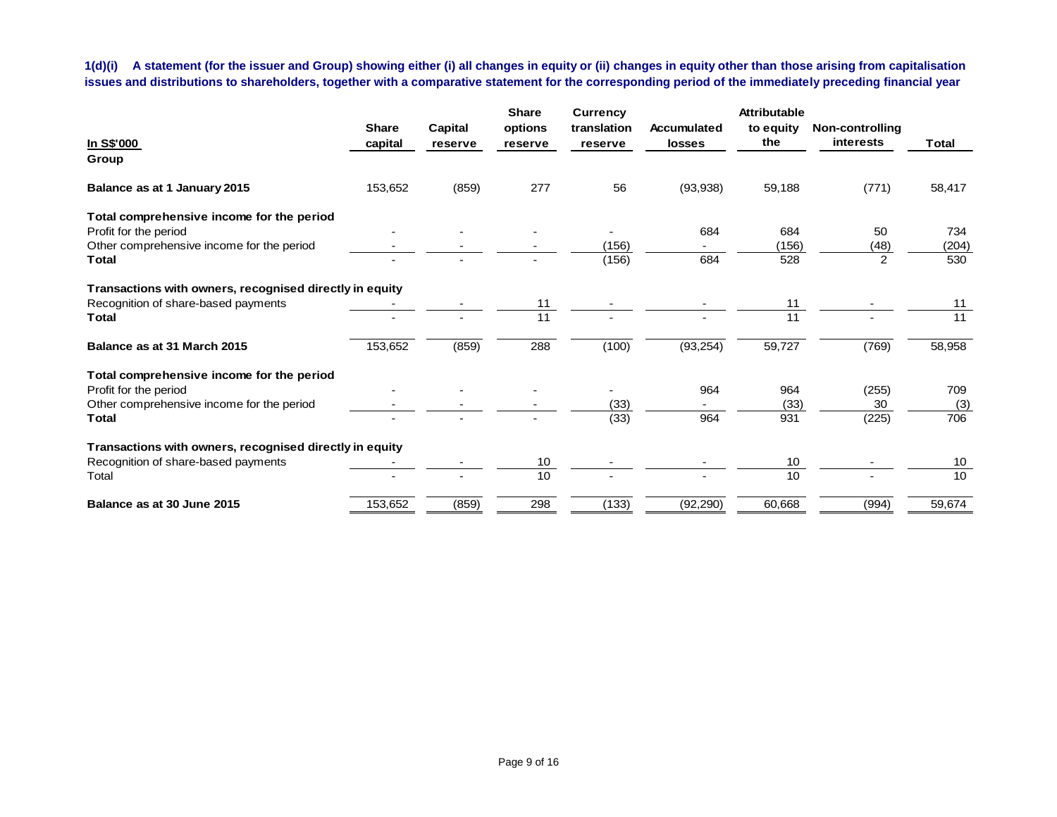**1(d)(i) A statement (for the issuer and Group) showing either (i) all changes in equity or (ii) changes in equity other than those arising from capitalisation issues and distributions to shareholders, together with a comparative statement for the corresponding period of the immediately preceding financial year**

|                                                         | <b>Share</b> | Capital | <b>Share</b><br>options | <b>Currency</b><br>translation | Accumulated | <b>Attributable</b><br>to equity | <b>Non-controlling</b> |              |
|---------------------------------------------------------|--------------|---------|-------------------------|--------------------------------|-------------|----------------------------------|------------------------|--------------|
| <u>In S\$'000</u>                                       | capital      | reserve | reserve                 | reserve                        | losses      | the                              | interests              | <b>Total</b> |
| Group                                                   |              |         |                         |                                |             |                                  |                        |              |
| Balance as at 1 January 2015                            | 153,652      | (859)   | 277                     | 56                             | (93,938)    | 59,188                           | (771)                  | 58,417       |
| Total comprehensive income for the period               |              |         |                         |                                |             |                                  |                        |              |
| Profit for the period                                   |              |         |                         |                                | 684         | 684                              | 50                     | 734          |
| Other comprehensive income for the period               |              |         |                         | (156)                          |             | (156)                            | (48)                   | (204)        |
| <b>Total</b>                                            |              |         |                         | (156)                          | 684         | 528                              | $\overline{2}$         | 530          |
| Transactions with owners, recognised directly in equity |              |         |                         |                                |             |                                  |                        |              |
| Recognition of share-based payments                     |              |         | 11                      |                                |             | 11                               |                        | 11           |
| Total                                                   |              |         | 11                      |                                |             | 11                               |                        | 11           |
| Balance as at 31 March 2015                             | 153,652      | (859)   | 288                     | (100)                          | (93, 254)   | 59,727                           | (769)                  | 58,958       |
| Total comprehensive income for the period               |              |         |                         |                                |             |                                  |                        |              |
| Profit for the period                                   |              |         |                         |                                | 964         | 964                              | (255)                  | 709          |
| Other comprehensive income for the period               |              |         |                         | (33)                           |             | (33)                             | 30                     | (3)          |
| <b>Total</b>                                            |              |         |                         | (33)                           | 964         | 931                              | (225)                  | 706          |
| Transactions with owners, recognised directly in equity |              |         |                         |                                |             |                                  |                        |              |
| Recognition of share-based payments                     |              |         | 10                      |                                |             | 10                               |                        | 10           |
| Total                                                   |              |         | 10                      |                                |             | 10                               |                        | 10           |
| Balance as at 30 June 2015                              | 153,652      | (859)   | 298                     | (133)                          | (92, 290)   | 60,668                           | (994)                  | 59,674       |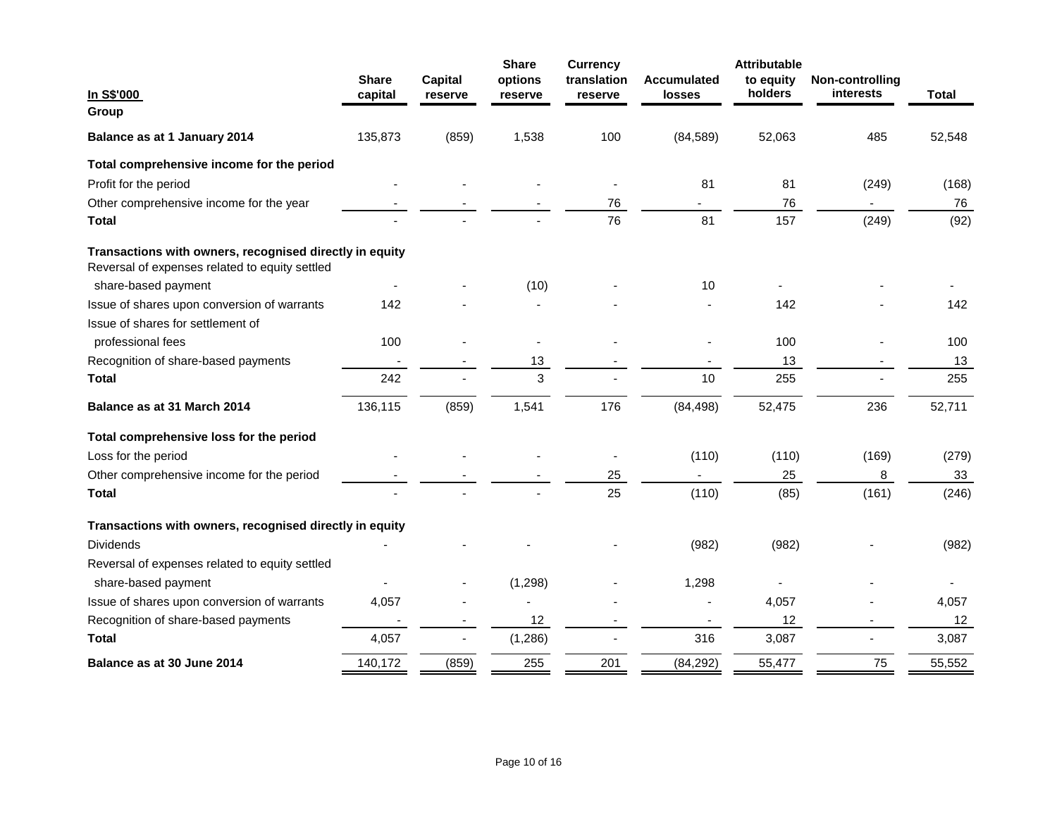|                                                                                                           |                |                | <b>Share</b>             | <b>Currency</b> |                    | <b>Attributable</b>  |                              |              |
|-----------------------------------------------------------------------------------------------------------|----------------|----------------|--------------------------|-----------------|--------------------|----------------------|------------------------------|--------------|
|                                                                                                           | <b>Share</b>   | <b>Capital</b> | options                  | translation     | <b>Accumulated</b> | to equity<br>holders | Non-controlling<br>interests |              |
| In S\$'000<br>Group                                                                                       | capital        | reserve        | reserve                  | reserve         | <b>losses</b>      |                      |                              | <b>Total</b> |
|                                                                                                           |                |                |                          |                 |                    |                      |                              |              |
| Balance as at 1 January 2014                                                                              | 135,873        | (859)          | 1,538                    | 100             | (84, 589)          | 52,063               | 485                          | 52,548       |
| Total comprehensive income for the period                                                                 |                |                |                          |                 |                    |                      |                              |              |
| Profit for the period                                                                                     |                |                |                          |                 | 81                 | 81                   | (249)                        | (168)        |
| Other comprehensive income for the year                                                                   |                |                |                          | 76              |                    | 76                   |                              | 76           |
| <b>Total</b>                                                                                              |                |                |                          | 76              | 81                 | 157                  | (249)                        | (92)         |
| Transactions with owners, recognised directly in equity<br>Reversal of expenses related to equity settled |                |                |                          |                 |                    |                      |                              |              |
| share-based payment                                                                                       |                |                | (10)                     |                 | 10                 |                      |                              |              |
| Issue of shares upon conversion of warrants                                                               | 142            |                |                          |                 |                    | 142                  |                              | 142          |
| Issue of shares for settlement of                                                                         |                |                |                          |                 |                    |                      |                              |              |
| professional fees                                                                                         | 100            |                | $\overline{\phantom{a}}$ |                 |                    | 100                  |                              | 100          |
| Recognition of share-based payments                                                                       | $\overline{a}$ |                | 13                       |                 |                    | 13                   |                              | 13           |
| <b>Total</b>                                                                                              | 242            |                | 3                        |                 | 10                 | 255                  |                              | 255          |
| Balance as at 31 March 2014                                                                               | 136,115        | (859)          | 1,541                    | 176             | (84, 498)          | 52,475               | 236                          | 52,711       |
| Total comprehensive loss for the period                                                                   |                |                |                          |                 |                    |                      |                              |              |
| Loss for the period                                                                                       |                |                |                          | $\blacksquare$  | (110)              | (110)                | (169)                        | (279)        |
| Other comprehensive income for the period                                                                 |                |                |                          | 25              |                    | 25                   | 8                            | 33           |
| <b>Total</b>                                                                                              |                |                |                          | 25              | (110)              | (85)                 | (161)                        | (246)        |
| Transactions with owners, recognised directly in equity                                                   |                |                |                          |                 |                    |                      |                              |              |
| <b>Dividends</b>                                                                                          |                |                |                          |                 | (982)              | (982)                |                              | (982)        |
| Reversal of expenses related to equity settled                                                            |                |                |                          |                 |                    |                      |                              |              |
| share-based payment                                                                                       |                |                | (1, 298)                 |                 | 1,298              |                      |                              |              |
| Issue of shares upon conversion of warrants                                                               | 4,057          |                |                          |                 |                    | 4,057                |                              | 4,057        |
| Recognition of share-based payments                                                                       |                |                | 12                       |                 |                    | 12                   |                              | 12           |
| <b>Total</b>                                                                                              | 4,057          |                | (1, 286)                 |                 | 316                | 3,087                |                              | 3,087        |
| Balance as at 30 June 2014                                                                                | 140,172        | (859)          | 255                      | 201             | (84, 292)          | 55,477               | 75                           | 55,552       |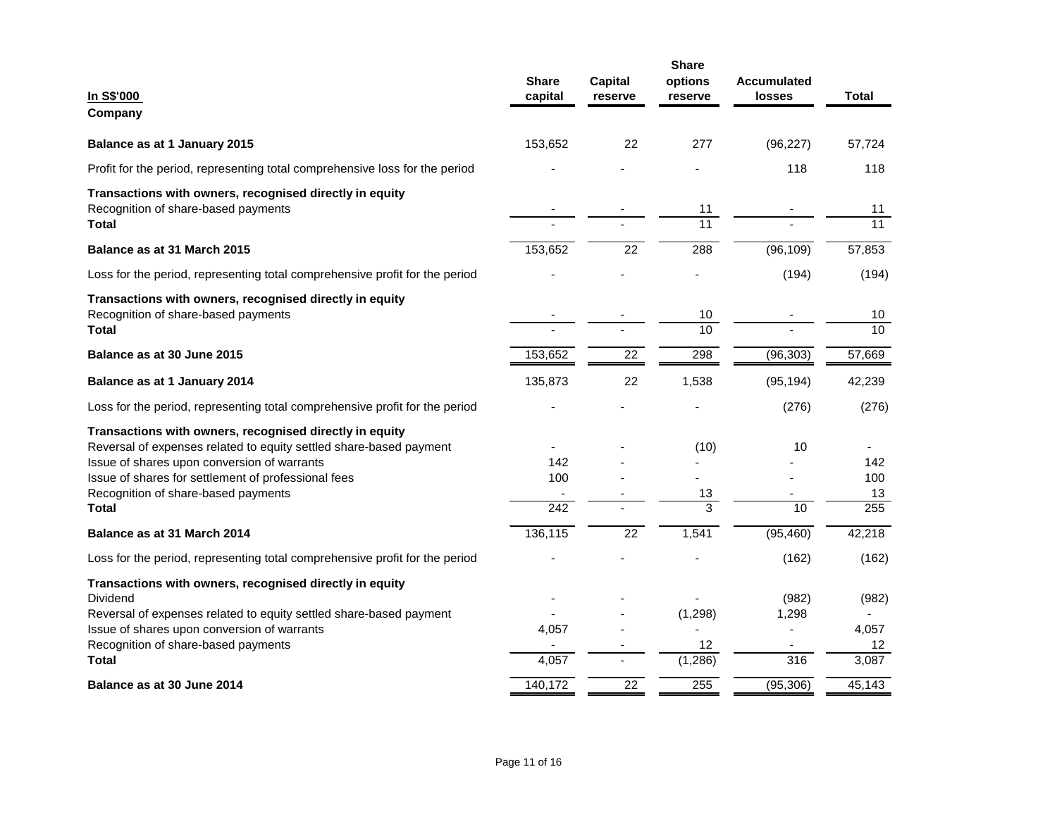| In S\$'000                                                                                                                    | <b>Share</b><br>capital  | Capital<br>reserve | <b>Share</b><br>options<br>reserve | <b>Accumulated</b><br>losses | <b>Total</b> |
|-------------------------------------------------------------------------------------------------------------------------------|--------------------------|--------------------|------------------------------------|------------------------------|--------------|
| Company                                                                                                                       |                          |                    |                                    |                              |              |
| Balance as at 1 January 2015                                                                                                  | 153,652                  | 22                 | 277                                | (96, 227)                    | 57,724       |
| Profit for the period, representing total comprehensive loss for the period                                                   |                          |                    |                                    | 118                          | 118          |
| Transactions with owners, recognised directly in equity<br>Recognition of share-based payments<br><b>Total</b>                |                          |                    | 11<br>$\overline{11}$              |                              | 11<br>11     |
|                                                                                                                               |                          |                    |                                    |                              |              |
| Balance as at 31 March 2015                                                                                                   | 153,652                  | 22                 | 288                                | (96, 109)                    | 57,853       |
| Loss for the period, representing total comprehensive profit for the period                                                   |                          |                    |                                    | (194)                        | (194)        |
| Transactions with owners, recognised directly in equity<br>Recognition of share-based payments<br><b>Total</b>                |                          |                    | 10<br>10                           |                              | 10<br>10     |
| Balance as at 30 June 2015                                                                                                    | 153,652                  | $\overline{22}$    | 298                                | (96, 303)                    | 57,669       |
|                                                                                                                               |                          |                    |                                    |                              |              |
| Balance as at 1 January 2014                                                                                                  | 135,873                  | 22                 | 1,538                              | (95, 194)                    | 42,239       |
| Loss for the period, representing total comprehensive profit for the period                                                   |                          |                    |                                    | (276)                        | (276)        |
| Transactions with owners, recognised directly in equity<br>Reversal of expenses related to equity settled share-based payment |                          |                    | (10)                               | 10                           |              |
| Issue of shares upon conversion of warrants                                                                                   | 142<br>100               |                    |                                    |                              | 142<br>100   |
| Issue of shares for settlement of professional fees<br>Recognition of share-based payments                                    |                          |                    | 13                                 |                              | 13           |
| <b>Total</b>                                                                                                                  | 242                      |                    | 3                                  | 10                           | 255          |
| Balance as at 31 March 2014                                                                                                   | 136,115                  | $\overline{22}$    | 1,541                              | (95, 460)                    | 42,218       |
| Loss for the period, representing total comprehensive profit for the period                                                   |                          |                    |                                    | (162)                        | (162)        |
| Transactions with owners, recognised directly in equity                                                                       |                          |                    |                                    |                              |              |
| Dividend                                                                                                                      | $\overline{\phantom{a}}$ |                    |                                    | (982)                        | (982)        |
| Reversal of expenses related to equity settled share-based payment<br>Issue of shares upon conversion of warrants             | 4,057                    |                    | (1, 298)                           | 1,298<br>$\overline{a}$      | 4,057        |
| Recognition of share-based payments                                                                                           |                          |                    | 12                                 | $\blacksquare$               | 12           |
| <b>Total</b>                                                                                                                  | 4,057                    |                    | (1, 286)                           | 316                          | 3,087        |
| Balance as at 30 June 2014                                                                                                    | 140,172                  | 22                 | 255                                | (95, 306)                    | 45,143       |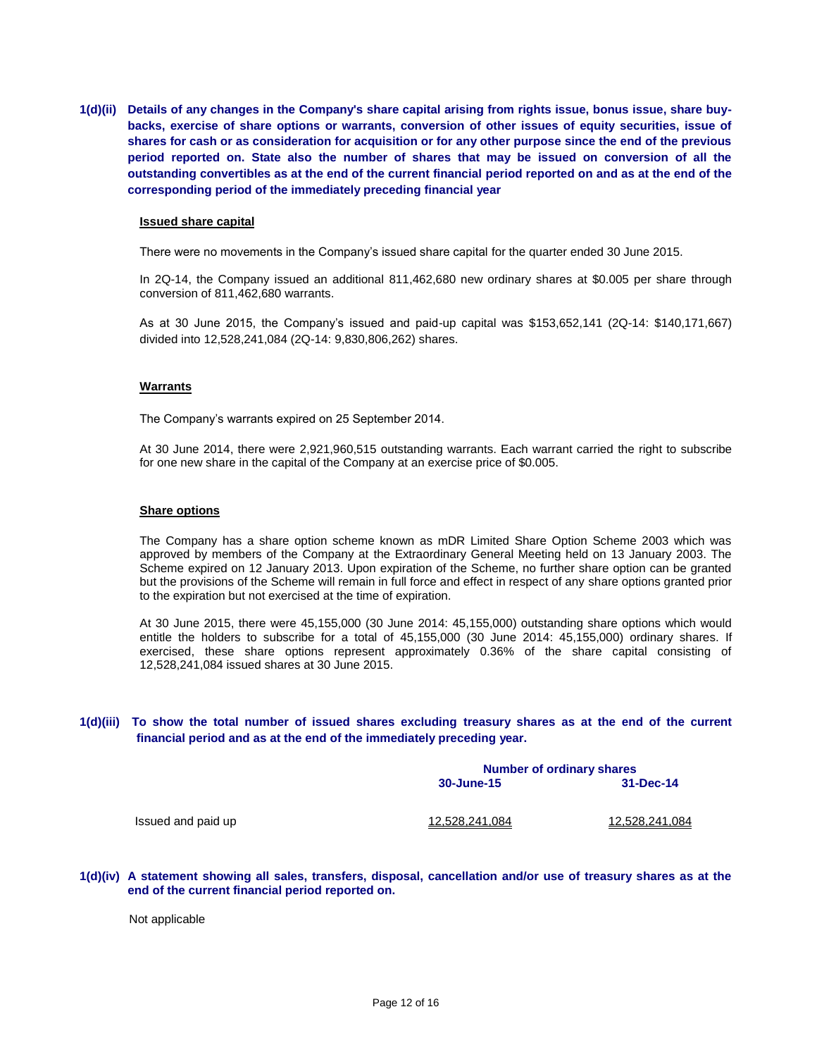**1(d)(ii) Details of any changes in the Company's share capital arising from rights issue, bonus issue, share buybacks, exercise of share options or warrants, conversion of other issues of equity securities, issue of shares for cash or as consideration for acquisition or for any other purpose since the end of the previous period reported on. State also the number of shares that may be issued on conversion of all the outstanding convertibles as at the end of the current financial period reported on and as at the end of the corresponding period of the immediately preceding financial year** 

#### **Issued share capital**

There were no movements in the Company's issued share capital for the quarter ended 30 June 2015.

In 2Q-14, the Company issued an additional 811,462,680 new ordinary shares at \$0.005 per share through conversion of 811,462,680 warrants.

As at 30 June 2015, the Company's issued and paid-up capital was \$153,652,141 (2Q-14: \$140,171,667) divided into 12,528,241,084 (2Q-14: 9,830,806,262) shares.

#### **Warrants**

The Company's warrants expired on 25 September 2014.

At 30 June 2014, there were 2,921,960,515 outstanding warrants. Each warrant carried the right to subscribe for one new share in the capital of the Company at an exercise price of \$0.005.

#### **Share options**

The Company has a share option scheme known as mDR Limited Share Option Scheme 2003 which was approved by members of the Company at the Extraordinary General Meeting held on 13 January 2003. The Scheme expired on 12 January 2013. Upon expiration of the Scheme, no further share option can be granted but the provisions of the Scheme will remain in full force and effect in respect of any share options granted prior to the expiration but not exercised at the time of expiration.

At 30 June 2015, there were 45,155,000 (30 June 2014: 45,155,000) outstanding share options which would entitle the holders to subscribe for a total of 45,155,000 (30 June 2014: 45,155,000) ordinary shares. If exercised, these share options represent approximately 0.36% of the share capital consisting of 12,528,241,084 issued shares at 30 June 2015.

# **1(d)(iii) To show the total number of issued shares excluding treasury shares as at the end of the current financial period and as at the end of the immediately preceding year.**

|                    | <b>Number of ordinary shares</b> |                |  |
|--------------------|----------------------------------|----------------|--|
|                    | 30-June-15                       | 31-Dec-14      |  |
| Issued and paid up | 12.528.241.084                   | 12.528.241.084 |  |

**1(d)(iv) A statement showing all sales, transfers, disposal, cancellation and/or use of treasury shares as at the end of the current financial period reported on.** 

Not applicable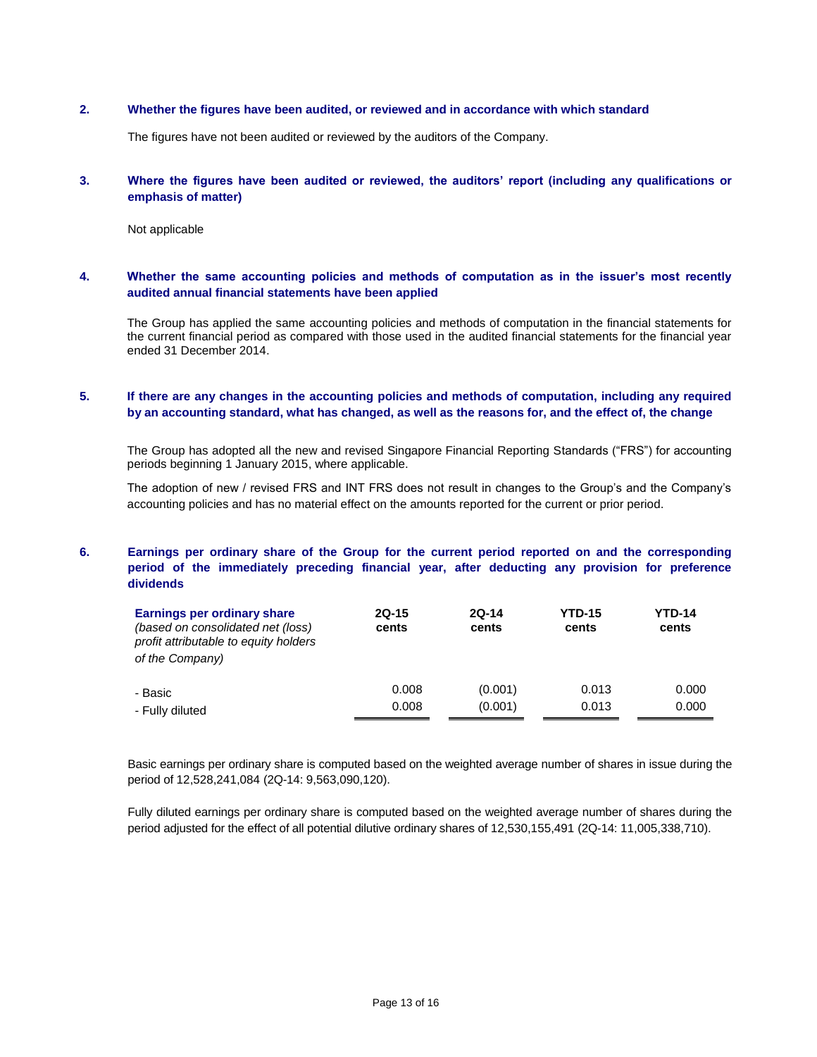### **2. Whether the figures have been audited, or reviewed and in accordance with which standard**

The figures have not been audited or reviewed by the auditors of the Company.

### **3. Where the figures have been audited or reviewed, the auditors' report (including any qualifications or emphasis of matter)**

Not applicable

### **4. Whether the same accounting policies and methods of computation as in the issuer's most recently audited annual financial statements have been applied**

The Group has applied the same accounting policies and methods of computation in the financial statements for the current financial period as compared with those used in the audited financial statements for the financial year ended 31 December 2014.

# **5. If there are any changes in the accounting policies and methods of computation, including any required by an accounting standard, what has changed, as well as the reasons for, and the effect of, the change**

The Group has adopted all the new and revised Singapore Financial Reporting Standards ("FRS") for accounting periods beginning 1 January 2015, where applicable.

The adoption of new / revised FRS and INT FRS does not result in changes to the Group's and the Company's accounting policies and has no material effect on the amounts reported for the current or prior period.

# **6. Earnings per ordinary share of the Group for the current period reported on and the corresponding period of the immediately preceding financial year, after deducting any provision for preference dividends**

| Earnings per ordinary share<br>(based on consolidated net (loss)<br>profit attributable to equity holders<br>of the Company) | $2Q-15$<br>cents |         | <b>YTD-15</b><br>cents | <b>YTD-14</b><br>cents |
|------------------------------------------------------------------------------------------------------------------------------|------------------|---------|------------------------|------------------------|
| - Basic                                                                                                                      | 0.008            | (0.001) | 0.013                  | 0.000                  |
| - Fully diluted                                                                                                              | 0.008            | (0.001) | 0.013                  | 0.000                  |

Basic earnings per ordinary share is computed based on the weighted average number of shares in issue during the period of 12,528,241,084 (2Q-14: 9,563,090,120).

Fully diluted earnings per ordinary share is computed based on the weighted average number of shares during the period adjusted for the effect of all potential dilutive ordinary shares of 12,530,155,491 (2Q-14: 11,005,338,710).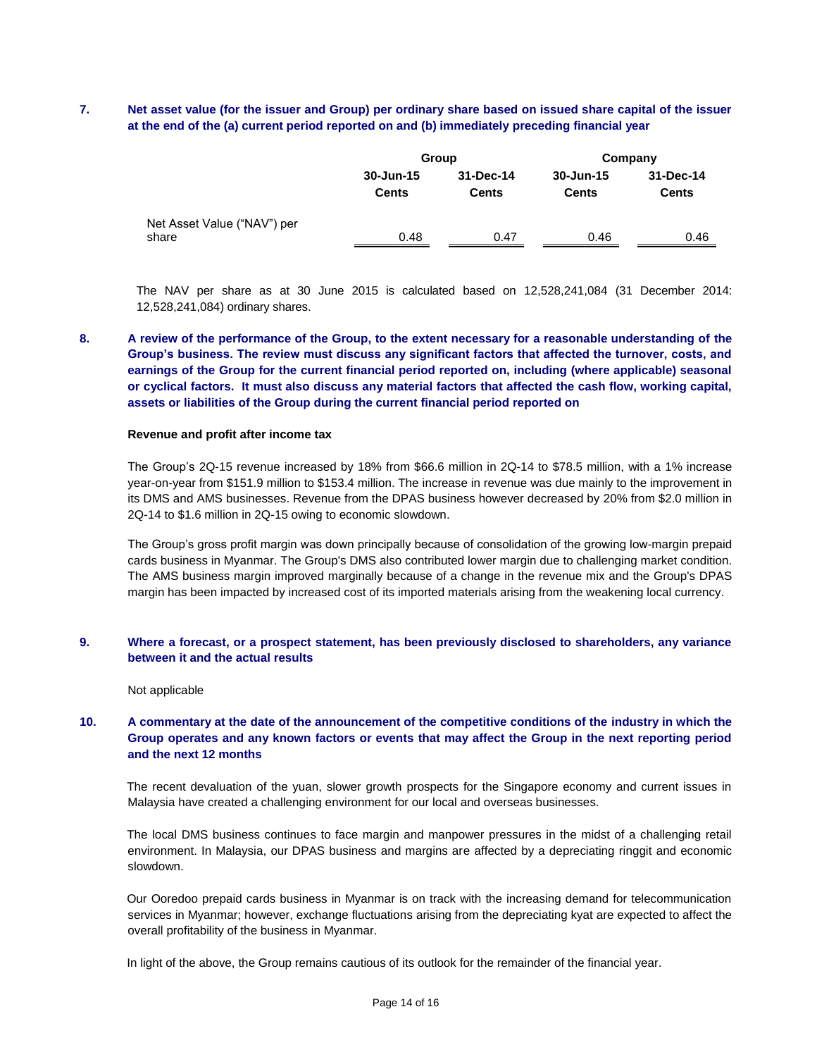# **7. Net asset value (for the issuer and Group) per ordinary share based on issued share capital of the issuer at the end of the (a) current period reported on and (b) immediately preceding financial year**

|                             |              | Group        | Company      |              |  |
|-----------------------------|--------------|--------------|--------------|--------------|--|
|                             | 30-Jun-15    | 31-Dec-14    | 30-Jun-15    | 31-Dec-14    |  |
|                             | <b>Cents</b> | <b>Cents</b> | <b>Cents</b> | <b>Cents</b> |  |
| Net Asset Value ("NAV") per |              |              |              |              |  |
| share                       | 0.48         | 0.47         | 0.46         | 0.46         |  |

The NAV per share as at 30 June 2015 is calculated based on 12,528,241,084 (31 December 2014: 12,528,241,084) ordinary shares.

**8. A review of the performance of the Group, to the extent necessary for a reasonable understanding of the Group's business. The review must discuss any significant factors that affected the turnover, costs, and earnings of the Group for the current financial period reported on, including (where applicable) seasonal or cyclical factors. It must also discuss any material factors that affected the cash flow, working capital, assets or liabilities of the Group during the current financial period reported on** 

#### **Revenue and profit after income tax**

The Group's 2Q-15 revenue increased by 18% from \$66.6 million in 2Q-14 to \$78.5 million, with a 1% increase year-on-year from \$151.9 million to \$153.4 million. The increase in revenue was due mainly to the improvement in its DMS and AMS businesses. Revenue from the DPAS business however decreased by 20% from \$2.0 million in 2Q-14 to \$1.6 million in 2Q-15 owing to economic slowdown.

The Group's gross profit margin was down principally because of consolidation of the growing low-margin prepaid cards business in Myanmar. The Group's DMS also contributed lower margin due to challenging market condition. The AMS business margin improved marginally because of a change in the revenue mix and the Group's DPAS margin has been impacted by increased cost of its imported materials arising from the weakening local currency.

### **9. Where a forecast, or a prospect statement, has been previously disclosed to shareholders, any variance between it and the actual results**

Not applicable

# **10. A commentary at the date of the announcement of the competitive conditions of the industry in which the Group operates and any known factors or events that may affect the Group in the next reporting period and the next 12 months**

The recent devaluation of the yuan, slower growth prospects for the Singapore economy and current issues in Malaysia have created a challenging environment for our local and overseas businesses.

The local DMS business continues to face margin and manpower pressures in the midst of a challenging retail environment. In Malaysia, our DPAS business and margins are affected by a depreciating ringgit and economic slowdown.

Our Ooredoo prepaid cards business in Myanmar is on track with the increasing demand for telecommunication services in Myanmar; however, exchange fluctuations arising from the depreciating kyat are expected to affect the overall profitability of the business in Myanmar.

In light of the above, the Group remains cautious of its outlook for the remainder of the financial year.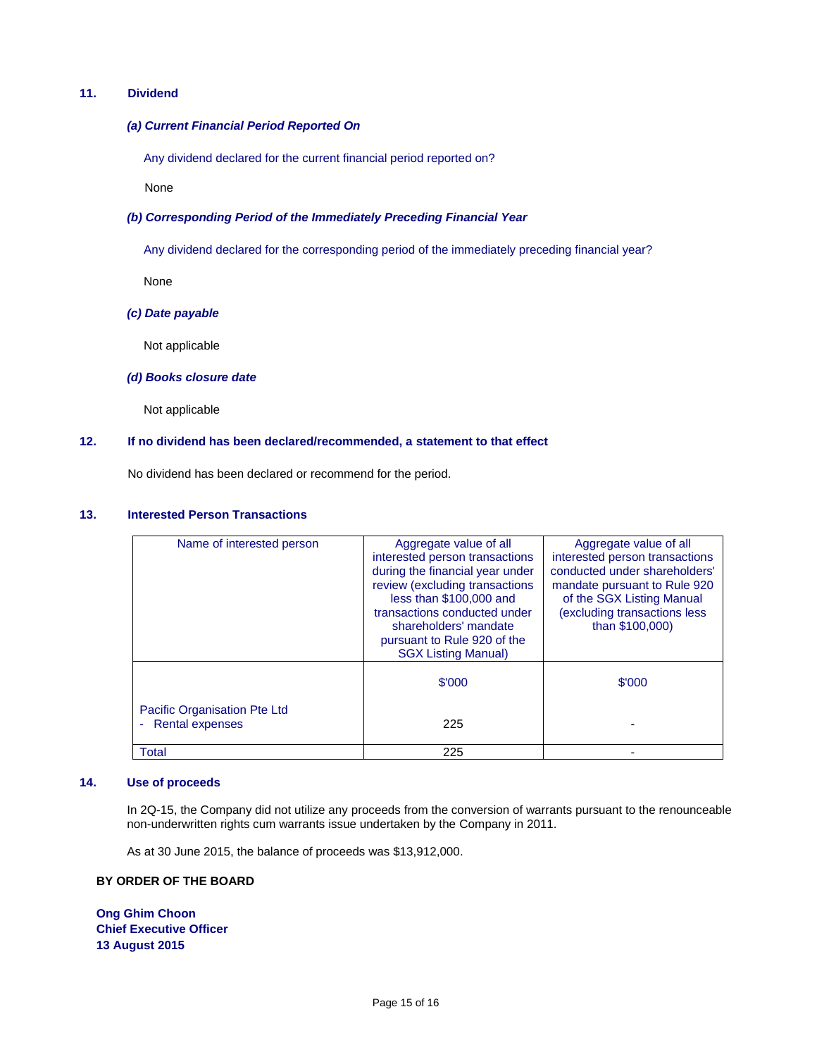## **11. Dividend**

### *(a) Current Financial Period Reported On*

Any dividend declared for the current financial period reported on?

None

# *(b) Corresponding Period of the Immediately Preceding Financial Year*

Any dividend declared for the corresponding period of the immediately preceding financial year?

None

### *(c) Date payable*

Not applicable

#### *(d) Books closure date*

Not applicable

### **12. If no dividend has been declared/recommended, a statement to that effect**

No dividend has been declared or recommend for the period.

### **13. Interested Person Transactions**

| Name of interested person                         | Aggregate value of all<br>interested person transactions<br>during the financial year under<br>review (excluding transactions<br>less than \$100,000 and<br>transactions conducted under<br>shareholders' mandate<br>pursuant to Rule 920 of the<br><b>SGX Listing Manual)</b> | Aggregate value of all<br>interested person transactions<br>conducted under shareholders'<br>mandate pursuant to Rule 920<br>of the SGX Listing Manual<br>(excluding transactions less<br>than \$100,000) |
|---------------------------------------------------|--------------------------------------------------------------------------------------------------------------------------------------------------------------------------------------------------------------------------------------------------------------------------------|-----------------------------------------------------------------------------------------------------------------------------------------------------------------------------------------------------------|
|                                                   | \$'000                                                                                                                                                                                                                                                                         | \$'000                                                                                                                                                                                                    |
| Pacific Organisation Pte Ltd<br>- Rental expenses | 225                                                                                                                                                                                                                                                                            |                                                                                                                                                                                                           |
| Total                                             | 225                                                                                                                                                                                                                                                                            |                                                                                                                                                                                                           |

#### **14. Use of proceeds**

In 2Q-15, the Company did not utilize any proceeds from the conversion of warrants pursuant to the renounceable non-underwritten rights cum warrants issue undertaken by the Company in 2011.

As at 30 June 2015, the balance of proceeds was \$13,912,000.

### **BY ORDER OF THE BOARD**

**Ong Ghim Choon Chief Executive Officer 13 August 2015**